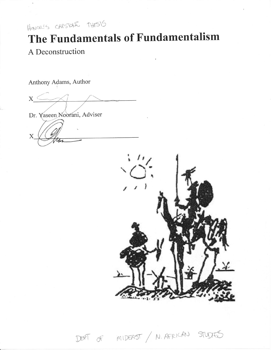$H$ aval's carstall  $THES$ 15

# The Fundamentals of Fundamentalism A Deconstruction

Anthony Adams, Author

 $x \leftarrow$ 

Dr. Yaseen Noorani, Adviser

 $\boldsymbol{\mathrm{X}}$ 



DEPT OF MIDEAST / N. AFRICAN STUDIES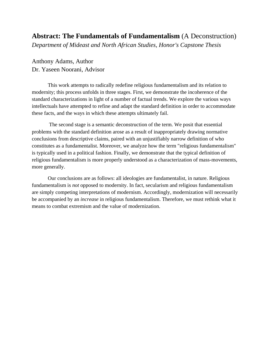# **Abstract: The Fundamentals of Fundamentalism** (A Deconstruction)

*Department of Mideast and North African Studies, Honor's Capstone Thesis* 

Anthony Adams, Author Dr. Yaseen Noorani, Advisor

 This work attempts to radically redefine religious fundamentalism and its relation to modernity; this process unfolds in three stages. First, we demonstrate the incoherence of the standard characterizations in light of a number of factual trends. We explore the various ways intellectuals have attempted to refine and adapt the standard definition in order to accommodate these facts, and the ways in which these attempts ultimately fail.

 The second stage is a semantic deconstruction of the term. We posit that essential problems with the standard definition arose as a result of inappropriately drawing normative conclusions from descriptive claims, paired with an unjustifiably narrow definition of who constitutes as a fundamentalist. Moreover, we analyze how the term "religious fundamentalism" is typically used in a political fashion. Finally, we demonstrate that the typical definition of religious fundamentalism is more properly understood as a characterization of mass-movements, more generally.

 Our conclusions are as follows: all ideologies are fundamentalist, in nature. Religious fundamentalism is *not* opposed to modernity. In fact, secularism and religious fundamentalism are simply competing interpretations of modernism. Accordingly, modernization will necessarily be accompanied by an *increase* in religious fundamentalism. Therefore, we must rethink what it means to combat extremism and the value of modernization.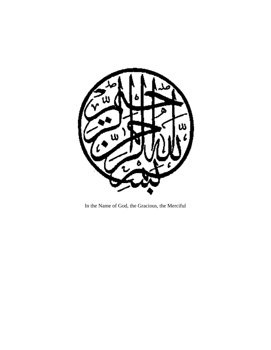

In the Name of God, the Gracious, the Merciful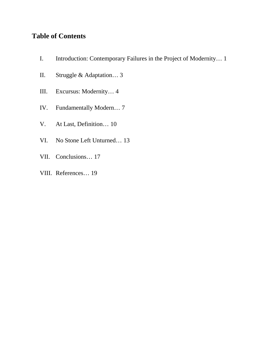# **Table of Contents**

- I. Introduction: Contemporary Failures in the Project of Modernity… 1
- II. Struggle & Adaptation… 3
- III. Excursus: Modernity… 4
- IV. Fundamentally Modern… 7
- V. At Last, Definition… 10
- VI. No Stone Left Unturned… 13
- VII. Conclusions… 17
- VIII. References… 19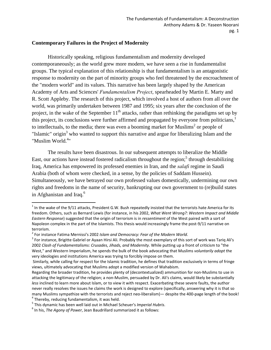#### **Contemporary Failures in the Project of Modernity**

 Historically speaking, religious fundamentalism and modernity developed contemporaneously; as the world grew more modern, we have seen a rise in fundamentalist groups. The typical explanation of this relationship is that fundamentalism is an antagonistic response to modernity on the part of minority groups who feel threatened by the encroachment of the "modern world" and its values. This narrative has been largely shaped by the American Academy of Arts and Sciences' *Fundamentalism Project*, spearheaded by Martin E. Marty and R. Scott Appleby. The research of this project, which involved a host of authors from all over the world, was primarily undertaken between 1987 and 1995; six years after the conclusion of the project, in the wake of the September  $11<sup>th</sup>$  attacks, rather than rethinking the paradigms set up by this project, its conclusions were further affirmed and propagated by everyone from politicians.<sup>1</sup> to intellectuals, to the media; there was even a booming market for Muslims<sup>2</sup> or people of "Islamic" origin<sup>3</sup> who wanted to support this narrative and argue for liberalizing Islam and the "Muslim World.<sup>4</sup>"

 The results have been disastrous. In our subsequent attempts to liberalize the Middle East, our actions have instead fostered radicalism throughout the region;<sup>5</sup> through destabilizing Iraq, America has empowered its professed enemies in Iran, and the *salafi* regime in Saudi Arabia (both of whom were checked, in a sense, by the policies of Saddam Hussein). Simultaneously, we have betrayed our own professed values domestically, undermining our own rights and freedoms in the name of security, bankrupting our own government to (re)build states in Afghanistan and Iraq.<sup>6</sup>

 $^1$  In the wake of the 9/11 attacks, President G.W. Bush repeatedly insisted that the terrorists hate America for its freedom. Others, such as Bernard Lewis (for instance, in his 2002, *What Went Wrong?: Western Impact and Middle Eastern Response*) suggested that the origin of terrorism is in *ressentiment* of the West paired with a sort of Napoleon complex in the part of the Islamists. This thesis would increasingly frame the post-9/11 narrative on terrorism.

<sup>&</sup>lt;sup>2</sup> For instance Fatima Mernissi's 2002 *Islam and Democracy: Fear of the Modern World*.<br><sup>3</sup> For instance, Brigitte Gabriel or Ayaan Hirsi Ali. Probably the most exemplary of this sort of work was Tariq Ali's 2002 *Clash of Fundamentalisms: Crusades, Jihads, and Modernity*. While putting up a front of criticism to "the West," and Western Imperialism, he spends the bulk of the book advocating that Muslims *voluntarily adopt* the very ideologies and institutions America was trying to forcibly impose on them.

Similarly, while calling for respect for the Islamic tradition, he defines that tradition exclusively in terms of fringe views, ultimately advocating that Muslims adopt a modified version of Wahabism.

Regarding the broader tradition, he provides plenty of (decontextualized) ammunition for non‐Muslims to use in attacking the legitimacy of the religion; a non‐Muslim, persuaded by Dr. Ali's claims, would likely be substantially *less* inclined to learn more about Islam, or to view it with respect. Exacerbating these severe faults, the author never really resolves the issues he claims the work is designed to explore (specifically, answering why it is that so many Muslims sympathize with the terrorists and reject neo-liberalism)— despite the 400-page length of the book!<br>
<sup>4</sup> Thereby, reducing fundamentalism, it was held.<br>
<sup>5</sup> This dynamic has been well laid out in Michael Scheu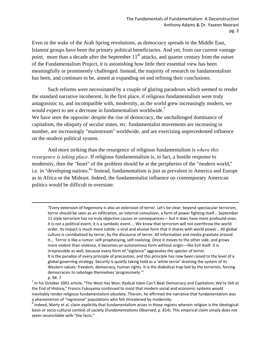Even in the wake of the Arab Spring revolutions, as democracy spreads in the Middle East, Islamist groups have been the primary political beneficiaries. And yet, from our current vantage point, more than a decade after the September  $11<sup>th</sup>$  attacks, and quarter century from the outset of the Fundamentalism Project, it is astonishing how little their essential view has been meaningfully or prominently challenged. Instead, the majority of research on fundamentalism has been, and continues to be, aimed at expanding on and refining their conclusions.

 Such reforms were necessitated by a couple of glaring paradoxes which seemed to render the standard narrative incoherent. In the first place, if religious fundamentalism were truly antagonistic to, and incompatible with, modernity, as the world grew increasingly modern, we would expect to see a decrease in fundamentalism worldwide.<sup>7</sup>

We have seen the opposite: despite the rise of democracy, the unchallenged dominance of capitalism, the ubiquity of secular states, etc. fundamentalist movements are increasing in number, are increasingly "mainstream" worldwide, and are exercising unprecedented influence on the modern political system.

 And more striking than the resurgence of religious fundamentalism is *where this resurgence is taking place*. If religious fundamentalism is, in fact, a hostile response to modernity, then the "heart" of the problem should be at the peripheries of the "modern world," i.e. in "developing nations.<sup>8</sup>" Instead, fundamentalism is just as prevalent in America and Europe as in Africa or the Mideast. Indeed, the fundamentalist influence on contemporary American politics would be difficult to overstate.

<u> 1989 - Johann Stein, marwolaethau a gweledydd a ganlad y ganlad y ganlad y ganlad y ganlad y ganlad y ganlad</u>

<sup>&</sup>quot;Every extension of hegemony is also an extension of terror. Let's be clear: beyond spectacular terrorism, terror should be seen as an infiltration, an internal convulsion, a form of power fighting itself… September 11-style terrorism has no truly objective causes or consequences— but it does have more profound ones. It is not a political event; it is a symbolic event…. We know that terrorism will not overthrow the world order. Its impact is much more subtle: a viral and elusive form that it shares with world power… All global culture is cannibalized by terror, by the discourse of terror. All information and media gravitate around it… Terror is like a rumor: self‐prophesying, self‐realizing. Once it moves to the other side, and grows more violent than violence, it becomes an autonomous form without origin—like Evil itself. It is irrepressible as well, because every form of "vigilance" aggravates the specter of terror. It is the paradox of every principle of precaution, and this principle has now been raised to the level of a global governing strategy. Security is quietly taking hold as a 'white terror' draining the system of its Western values: freedom, democracy, human rights. It is the diabolical trap laid by the terrorists, forcing democracies to sabotage themselves 'progressively.'"

p. 94- 7<br><sup>7</sup> In his October 2001 article, "The West Has Won: Radical Islam Can't Beat Democracy and Capitalism; We're Still at the End of History," Francis Fukuyama continued to insist that modern social and economic systems would inevitably render religious fundamentalism obsolete. Therein, he affirmed the narrative that fundamentalism was<br>a phenomenon of "regressive" populations who felt threatened by modernity.

<sup>&</sup>lt;sup>8</sup> Indeed, Marty et al. claim explicitly that fundamentalism arises in those regions wherein religion is the ideological basis or socio‐cultural context of society (*Fundamentalisms Observed*, p. 814). This empirical claim simply does not seem reconcilable with "the facts."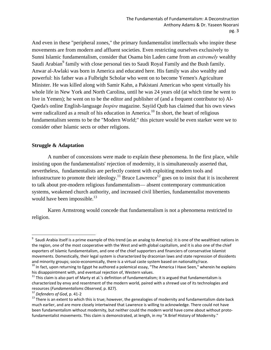And even in these "peripheral zones," the primary fundamentalist intellectuals who inspire these movements are from modern and affluent societies. Even restricting ourselves exclusively to Sunni Islamic fundamentalism, consider that Osama bin Laden came from an *extremely* wealthy Saudi Arabian<sup>9</sup> family with close personal ties to Saudi Royal Family and the Bush family. Anwar al-Awlaki was born in America and educated here. His family was also wealthy and powerful: his father was a Fulbright Scholar who went on to become Yemen's Agriculture Minister. He was killed along with Samir Kahn, a Pakistani American who spent virtually his whole life in New York and North Carolina, until he was 24 years old (at which time he went to live in Yemen); he went on to be the editor and publisher of (and a frequent contributor to) Al-Qaeda's online English-language *Inspire* magazine. Sayiid Qutb has claimed that his own views were radicalized as a result of his education in America.<sup>10</sup> In short, the heart of religious fundamentalism seems to be the "Modern World;" this picture would be even starker were we to consider other Islamic sects or other religions.

#### **Struggle & Adaptation**

 A number of concessions were made to explain these phenomena. In the first place, while insisting upon the fundamentalists' rejection of modernity, it is simultaneously asserted that, nevertheless, fundamentalists are perfectly content with exploiting modern tools and infrastructure to promote their ideology.<sup>11</sup> Bruce Lawrence<sup>12</sup> goes on to insist that it is incoherent to talk about pre-modern religious fundamentalism— absent contemporary communication systems, weakened church authority, and increased civil liberties, fundamentalist movements would have been impossible.<sup>13</sup>

 Karen Armstrong would concede that fundamentalism is not a phenomena restricted to religion.

 9 Saudi Arabia itself is a prime example of this trend (as an analog to America): it is one of the wealthiest nations in the region, one of the most cooperative with the West and with global capitalism, and it is also one of the chief exporters of Islamic fundamentalism, and one of the chief supporters and financiers of conservative Islamist movements. Domestically, their legal system is characterized by draconian laws and state repression of dissidents

and minority groups; socio-economically, there is a virtual caste system based on nationality/race.<br>
<sup>10</sup> In fact, upon returning to Egypt he authored a polemical essay, "The America I Have Seen," wherein he explains<br>
his

 $11$  This claim is also part of Marty et al.'s definition of fundamentalism; it is argued that fundamentalism is characterized by envy and resentment of the modern world, paired with a shrewd use of its technologies and resources (*Fundamentalisms Observed*, p. 827).<br><sup>12</sup> *Defenders of God*, p. 41-2<br><sup>13</sup> There is an extent to which this is true; however, the genealogies of modernity and fundamentalism date back

much earlier, and are more closely intertwined that Lawrence is willing to acknowledge. There could not have been fundamentalism without modernity, but neither could the modern world have come about without protofundamentalist movements. This claim is demonstrated, at length, in my "A Brief History of Modernity."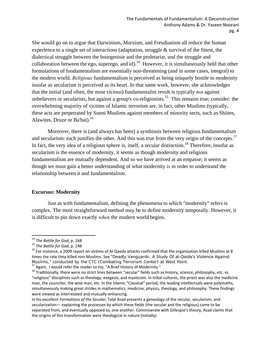She would go on to argue that Darwinism, Marxism, and Freudianism all reduce the human experience to a single set of interactions (adaptation, struggle & survival of the fittest, the dialectical struggle between the bourgeoisie and the proletariat, and the struggle and collaboration between the ego, superego, and id).<sup>14</sup> However, it is simultaneously held that other formulations of fundamentalism are essentially non-threatening (and in some cases, integral) to the modern world. *Religious* fundamentalism is perceived as being uniquely hostile to modernity insofar as secularism is perceived as its heart. In that same work, however, she acknowledges that the initial (and often, the most vicious) fundamentalist revolt is typically *not* against unbelievers or secularists, but against a group's co-religionists.<sup>15</sup> This remains true; consider: the overwhelming majority of victims of Islamic terrorism are, in fact, other Muslims (typically, these acts are perpetrated by Sunni Muslims against members of minority sects, such as Shiites, Alawites, Druze or Ba'hai).<sup>16</sup>

 Moreover, there is (and always has been) a symbiosis between religious fundamentalism and secularism: each justifies the other. And this was true from the very origin of the concepts.<sup>17</sup> In fact, the very idea of a religious sphere is, itself, a secular distinction.<sup>18</sup> Therefore, insofar as secularism is the essence of modernity, it seems as though modernity and religious fundamentalism are mutually dependent. And so we have arrived at an empasse; it seems as though we must gain a better understanding of what modernity *is* in order to understand the relationship between it and fundamentalism.

#### **Excursus: Modernity**

 Just as with fundamentalism, defining the phenomena to which "modernity" refers is complex. The most straightforward method may be to define modernity temporally. However, it is difficult to pin down exactly *when* the modern world begins.

<sup>&</sup>lt;sup>14</sup> The Battle for God, p. 168<br><sup>15</sup> The Battle for God, p. 148<br><sup>15</sup> For instance, a 2009 report on victims of Al-Qaeda attacks confirmed that the organization killed Muslims at 8 times the rate they killed non-Muslims. See "Deadly Vanguards: A Study Of al-Qaida's Violence Against Muslims," conducted by the CTC (Combating Terrorism Center) at West Point.

<sup>&</sup>lt;sup>17</sup> Again, I would refer the reader to my, "A Brief History of Modernity."<br><sup>18</sup> Traditionally, there were no strict lines between "secular" fields such as history, science, philosophy, etc. vs. "religious" disciplines such as theology, exegesis, and mysticism. In tribal cultures, the priest was also the medicine man, the councilor, the wise man, etc. In the Islamic "Classical" period, the leading intellectuals were polymaths, simultaneously making great strides in mathematics, medicine, physics, theology, and philosophy. These findings were viewed as interrelated and mutually-enhancing.

In his excellent *Formations of the Secular*, Talal Asad presents a genealogy of the secular, secularism, and secularization— explaining the processes by which these fields (the secular and the religious) came to be separated from, and eventually opposed to, one another. Commiserate with Gillespie's theory, Asad claims that the origins of this transformation were theological in nature (initially).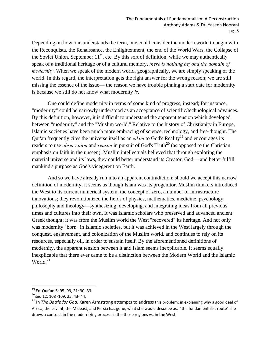Depending on how one understands the term, one could consider the modern world to begin with the Reconquista, the Renaissance, the Enlightenment, the end of the World Wars, the Collapse of the Soviet Union, September  $11<sup>th</sup>$ , etc. By this sort of definition, while we may authentically speak of a traditional heritage or of a cultural memory, *there is nothing beyond the domain of modernity*. When we speak of the modern world, geographically, we are simply speaking of the world. In this regard, the interpretation gets the right answer for the wrong reason; we are still missing the essence of the issue— the reason we have trouble pinning a start date for modernity is because we still do not know what modernity *is*.

 One could define modernity in terms of some kind of progress, instead; for instance, "modernity" could be narrowly understood as an acceptance of scientific/technological advances. By this definition, however, it is difficult to understand the apparent tension which developed between "modernity" and the "Muslim world." Relative to the history of Christianity in Europe, Islamic societies have been much more embracing of science, technology, and free-thought. The Qur'an frequently cites the universe itself as an *eikon* to God's Reality<sup>19</sup> and encourages its readers to use *observation* and *reason* in pursuit of God's Truth<sup>20</sup> (as opposed to the Christian emphasis on faith in the unseen). Muslim intellectuals believed that through exploring the material universe and its laws, they could better understand its Creator, God— and better fulfill mankind's purpose as God's vicegerent on Earth.

 And so we have already run into an apparent contradiction: should we accept this narrow definition of modernity, it seems as though Islam was its progenitor. Muslim thinkers introduced the West to its current numerical system, the concept of zero, a number of infrastructure innovations; they revolutionized the fields of physics, mathematics, medicine, psychology, philosophy and theology—synthesizing, developing, and integrating ideas from all previous times and cultures into their own. It was Islamic scholars who preserved and advanced ancient Greek thought; it was from the Muslim world the West "recovered" its heritage. And not only was modernity "born" in Islamic societies, but it was achieved in the West largely through the conquest, enslavement, and colonization of the Muslim world, and continues to rely on its resources, especially oil, in order to sustain itself. By the aforementioned definitions of modernity, the apparent tension between it and Islam seems inexplicable. It seems equally inexplicable that there ever came to be a distinction between the Modern World and the Islamic World. $^{21}$ 

 <sup>19</sup> Ex. Qur'an 6: 95- 99, 21: 30- 33<br><sup>20</sup>ibid 12: 108 -109, 25: 43- 44,

<sup>21</sup> In *The Battle for God*, Karen Armstrong attempts to address this problem; in explaining why a good deal of Africa, the Levant, the Mideast, and Persia has gone, what she would describe as, "the fundamentalist route" she draws a contrast in the modernizing process in the those regions vs. in the West.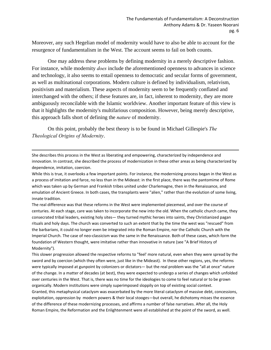Moreover, any such Hegelian model of modernity would have to also be able to account for the resurgence of fundamentalism in the West. The account seems to fail on both counts.

 One may address these problems by defining modernity in a merely descriptive fashion. For instance, while modernity *does* include the aforementioned openness to advances in science and technology, it also seems to entail openness to democratic and secular forms of government, as well as multinational corporations. Modern culture is defined by individualism, relativism, positivism and materialism. These aspects of modernity seem to be frequently conflated and interchanged with the others; if these features are, in fact, inherent to modernity, they are more ambiguously reconcilable with the Islamic worldview. Another important feature of this view is that it highlights the modernity's multifarious composition. However, being merely descriptive, this approach falls short of defining the *nature* of modernity.

 On this point, probably the best theory is to be found in Michael Gillespie's *The Theological Origins of Modernity*.

She describes this process in the West as liberating and empowering, characterized by independence and innovation. In contrast, she described the process of modernization in these other areas as being characterized by dependence, imitation, coercion.

<u> 1989 - Johann Stein, marwolaethau a gweledydd a ganlad y ganlad y ganlad y ganlad y ganlad y ganlad y ganlad</u>

While this is true, it overlooks a few important points. For instance, the modernizing process began in the West as a process of imitation and farce, no less than in the Mideast: in the first place, there was the pantomime of Rome which was taken up by German and Frankish tribes united under Charlemagne, then in the Renaissance, and emulation of Ancient Greece. In both cases, the transplants were "alien," rather than the evolution of some living, innate tradition.

The real difference was that these reforms in the West were implemented piecemeal, and over the course of centuries. At each stage, care was taken to incorporate the new into the old. When the catholic church came, they consecrated tribal leaders, existing holy sites— they turned mythic heroes into saints, they Christianized pagan rituals and holy days. The church was converted to such an extent that by the time the west was "rescued" from the barbarians, it could no longer even be integrated into the Roman Empire, nor the Catholic Church with the Imperial Church. The case of neo‐classicism was the same in the Renaissance. Both of these cases, which form the foundation of Western thought, were imitative rather than innovative in nature (see "A Brief History of Modernity").

This slower progression allowed the respective reforms to "feel' more natural, even when they were spread by the sword and by coercion (which they often were, just like in the Mideast). In these other regions, yes, the reforms were typically imposed at gunpoint by colonizers or dictators— but the real problem was the "all at once" nature of the change. In a matter of decades (at best), they were expected to undergo a series of changes which unfolded over centuries in the West. That is, there was no time for the ideologies to come to feel natural or to be grown organically. Modern institutions were simply superimposed sloppily on top of existing social context. Granted, this metaphysical cataclysm was exacerbated by the more literal cataclysm of massive debt, concessions, exploitation, oppression by modern powers & their local stooges—but overall, he dichotomy misses the essence of the difference of these modernizing processes, and affirms a number of false narratives. After all, the Holy Roman Empire, the Reformation and the Enlightenment were all established at the point of the sword, as well.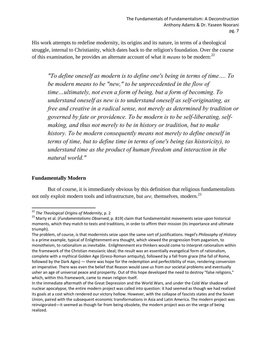His work attempts to redefine modernity, its origins and its nature, in terms of a theological struggle, internal to Christianity, which dates back to the religion's foundation. Over the course of this examination, he provides an alternate account of what it *means* to be modern:<sup>22</sup>

*"To define oneself as modern is to define one's being in terms of time…. To be modern means to be "new," to be unprecedented in the flow of time…ultimately, not even a form of being, but a form of becoming. To understand oneself as new is to understand oneself as self-originating, as free and creative in a radical sense, not merely as determined by tradition or governed by fate or providence. To be modern is to be self-liberating, selfmaking, and thus not merely to be in history or tradition, but to make history. To be modern consequently means not merely to define oneself in terms of time, but to define time in terms of one's being (as historicity), to understand time as the product of human freedom and interaction in the natural world."* 

#### **Fundamentally Modern**

 But of course, it is immediately obvious by this definition that religious fundamentalists not only exploit modern tools and infrastructure, but *are,* themselves*,* modern.23

<sup>&</sup>lt;sup>22</sup> The Theological Origins of Modernity, p. 2

<sup>&</sup>lt;sup>23</sup> Marty et al. (*Fundamentalisms Observed*, p. 819) claim that fundamentalist movements seize upon historical moments, which they match to texts and traditions, in order to affirm their mission (its importance and ultimate triumph).

The problem, of course, is that modernists seize upon the same sort of justifications. Hegel's *Philosophy of History* is a prime example, typical of Enlightenment-era thought, which viewed the progression from paganism, to monotheism, to rationalism as inevitable. Enlightenment era thinkers would come to interpret rationalism within the framework of the Christian messianic ideal; the result was an essentially evangelical form of rationalism, complete with a mythical Golden Age (Greco‐Roman antiquity), followed by a fall from grace (the fall of Rome, followed by the Dark Ages) — there was hope for the redemption and perfectibility of man, rendering conversion an imperative. There was even the belief that Reason would save us from our societal problems and eventually usher an age of universal peace and prosperity. Out of this hope developed the need to destroy "false religions," which, within this framework, came to mean religion itself.

In the immediate aftermath of the Great Depression and the World Wars, and under the Cold War shadow of nuclear apocalypse, the entire modern project was called into question: it had seemed as though we had realized its goals at a cost which rendered our victory hollow. However, with the collapse of fascists states and the Soviet Union, paired with the subsequent economic transformations in Asia and Latin America. The modern project was reinvigorated—it seemed as though far from being obsolete, the modern project was on the verge of being realized.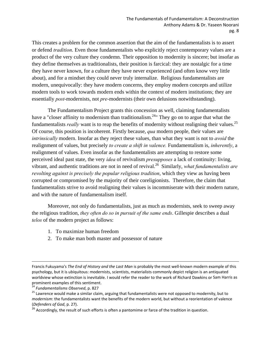This creates a problem for the common assertion that the aim of the fundamentalists is to assert or defend *tradition*. Even those fundamentalists who explicitly reject contemporary values are a product of the very culture they condemn. Their opposition to modernity is sincere; but insofar as they define themselves as traditionalists, their position is farcical: they are nostalgic for a time they have never known, for a culture they have never experienced (and often know very little about), and for a mindset they could never truly internalize. Religious fundamentalists are modern, unequivocally: they have modern concerns, they employ modern concepts and utilize modern tools to work towards modern ends within the context of modern institutions; they are essentially *post*-modernists, not *pre*-modernists (their own delusions notwithstanding).

 The Fundamentalism Project grants this concession as well, claiming fundamentalists have a "closer affinity to modernism than traditionalism.<sup>24</sup>" They go on to argue that what the fundamentalists *really* want is to reap the benefits of modernity without realigning their values.25 Of course, this position is incoherent. Firstly because, *qua* modern people, their values are *intrinsically* modern. Insofar as they reject these values, than what they want is not to *avoid* the realignment of values, but precisely *to create a shift in valence.* Fundamentalism is, *inherently*, a realignment of values. Even insofar as the fundamentalists are attempting to restore some perceived ideal past state, the very *idea* of revivalism *presupposes* a lack of continuity: living, vibrant, and authentic traditions are not in need of revival.26 Similarly, *what fundamentalists are revolting against is precisely the popular religious tradition*, which they view as having been corrupted or compromised by the majority of their coreligionists. Therefore, the claim that fundamentalists strive to avoid realigning their values is incommiserate with their modern nature, and with the nature of fundamentalism itself.

 Moreover, not only do fundamentalists, just as much as modernists, seek to sweep away the religious tradition, *they often do so in pursuit of the same ends*. Gillespie describes a dual *telos* of the modern project as follows:

- 1. To maximize human freedom
- 2. To make man both master and possessor of nature

<u> 1989 - Johann Stein, marwolaethau a gweledydd a ganlad y ganlad y ganlad y ganlad y ganlad y ganlad y ganlad</u>

Francis Fukuyama's *The End of History and the Last Man* is probably the most well‐known modern example of this psychology, but it is ubiquitous: modernists, scientists, materialists commonly depict religion is an antiquated worldview whose extinction is inevitable. I would refer the reader to the work of Richard Dawkins or Sam Harris as prominent examples of this sentiment.<br><sup>24</sup> Fundamentalisms Observed, p. 827

<sup>&</sup>lt;sup>25</sup> Lawrence would make a similar claim, arguing that fundamentalists were not opposed to modernity, but to *modernism*: the fundamentalists want the benefits of the modern world, but without a reorientation of valence (*Defenders of God*, p. 27).

<sup>&</sup>lt;sup>26</sup> Accordingly, the result of such efforts is often a pantomime or farce of the tradition in question.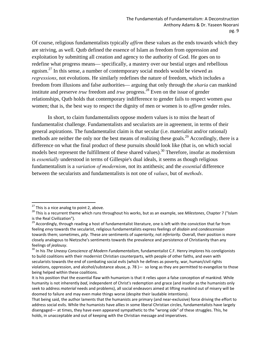Of course, religious fundamentalists typically *affirm* these values as the ends towards which they are striving, as well. Qutb defined the essence of Islam as freedom from oppression and exploitation by submitting all creation and agency to the authority of God. He goes on to redefine what progress means— specifically, a mastery over our bestial urges and rebellious egoism. $^{27}$  In this sense, a number of contemporary social models would be viewed as *regressions*, not evolutions. He similarly redefines the nature of freedom, which includes a freedom from illusions and false authorities— arguing that only through the *sharia* can mankind institute and preserve *true* freedom and *true* progress.<sup>28</sup> Even on the issue of gender relationships, Qutb holds that contemporary indifference to gender fails to respect women *qua* women; that is, the best way to respect the dignity of men or women is to *affirm* gender roles.

 In short, to claim fundamentalists oppose modern values is to miss the heart of fundamentalist challenge. Fundamentalists and secularists are in agreement, in terms of their general aspirations. The fundamentalist claim is that secular (i.e. materialist and/or rational) methods are neither the only nor the best means of realizing these goals.<sup>29</sup> Accordingly, there is a difference on what the final product of these pursuits should look like (that is, on which social models best represent the fulfillment of these shared values).<sup>30</sup> Therefore, insofar as modernism is *essentially* understood in terms of Gillespie's dual ideals, it seems as though religious fundamentalism is a *variation of modernism*, not its antithesis; and the *essential* difference between the secularists and fundamentalists is not one of *values*, but of *methods*.

<sup>&</sup>lt;sup>27</sup> This is a nice analog to point 2, above.

<sup>28</sup> This is a nice analog to point 2, above.<br><sup>28</sup> This is a recurrent theme which runs throughout his works, but as an example, see *Milestones*, Chapter 7 ("Islam is the Real Civilization").<br><sup>29</sup> Accordingly, through reading a host of fundamentalist literature, one is left with the conviction that far from

feeling *envy* towards the secularist, religious fundamentalists express feelings of *disdain* and *condescension* towards them; sometimes, *pity*. These are sentiments of *superiority*, not *inferiority*. Overall, their position is more closely analogous to Nietzsche's sentiments towards the prevalence and persistence of Christianity than any

feelings of *jealousy*.<br><sup>30</sup> In his *The Uneasy Conscience of Modern Fundamentalism*, fundamentalist C.F. Henry implores his coreligionists to build coalitions with their modernist Christian counterparts, with people of other faiths, and even with secularists towards the end of combating social evils (which he defines as poverty, war, human/civil rights violations, oppression, and alcohol/substance abuse,  $p. 78$ ) — so long as they are permitted to evangelize to those being helped within these coalitions.

It is his position that the essential flaw with humanism is that it relies upon a false conception of mankind. While humanity is not inherently *bad*, independent of Christ's redemption and grace (and insofar as the humanists only seek to address *material* needs and problems), all social endeavors aimed at lifting mankind out of misery will be doomed to failure and may even make things worse (despite their laudable intentions).

That being said, the author laments that the humanists are primary (and near‐exclusive) force driving the effort to address social evils. While the humanists have allies in some liberal Christian circles, fundamentalists have largely disengaged— at times, they have even appeared sympathetic to the "wrong side" of these struggles. This, he holds, in unacceptable and out of keeping with the Christian message and imperatives.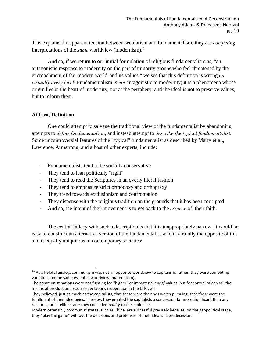This explains the apparent tension between secularism and fundamentalism: they are *competing*  interpretations of the *same* worldview (modernism).<sup>31</sup>

 And so, if we return to our initial formulation of religious fundamentalism as, "an antagonistic response to modernity on the part of minority groups who feel threatened by the encroachment of the 'modern world' and its values," we see that this definition is wrong *on virtually every level*: Fundamentalism is *not* antagonistic to modernity; it is a phenomena whose origin lies in the heart of modernity, not at the periphery; and the ideal is not to preserve values, but to reform them.

#### **At Last, Definition**

 One could attempt to salvage the traditional view of the fundamentalist by abandoning attempts to *define fundamentalism*, and instead attempt to *describe the typical fundamentalist*. Some uncontroversial features of the "typical" fundamentalist as described by Marty et al., Lawrence, Armstrong, and a host of other experts, include:

- ‐ Fundamentalists tend to be socially conservative
- ‐ They tend to lean politically "right"

- ‐ They tend to read the Scriptures in an overly literal fashion
- ‐ They tend to emphasize strict orthodoxy and orthopraxy
- ‐ They trend towards exclusionism and confrontation
- ‐ They dispense with the religious tradition on the grounds that it has been corrupted
- ‐ And so, the intent of their movement is to get back to the *essence* of their faith.

 The central fallacy with such a description is that it is inappropriately narrow. It would be easy to construct an alternative version of the fundamentalist who is virtually the opposite of this and is equally ubiquitous in contemporary societies:

 $31$  As a helpful analog, communism was not an opposite worldview to capitalism; rather, they were competing variations on the same essential worldview (materialism).

The communist nations were not fighting for "higher" or immaterial ends/ values, but for control of capital, the means of production (resources & labor), recognition in the U.N., etc.

They believed, just as much as the capitalists, that *these* were the ends worth pursuing, that *these* were the fulfillment of their ideologies. Thereby, they granted the capitalists a concession far more significant than any resource, or satellite state: they conceded *reality* to the capitalists.

Modern ostensibly communist states, such as China, are successful precisely because, on the geopolitical stage, they "play the game" without the delusions and pretenses of their idealistic predecessors.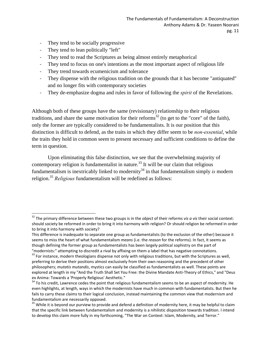- They tend to be socially progressive
- ‐ They tend to lean politically "left"

- They tend to read the Scriptures as being almost entirely metaphorical
- They tend to focus on one's intentions as the most important aspect of religious life
- They trend towards ecumenicism and tolerance
- ‐ They dispense with the religious tradition on the grounds that it has become "antiquated" and no longer fits with contemporary societies
- ‐ They de-emphasize dogma and rules in favor of following the *spirit* of the Revelations.

Although both of these groups have the same (revisionary) relationship to their religious traditions, and share the same motivation for their reforms<sup>32</sup> (to get to the "core" of the faith), only the former are typically considered to be fundamentalists. It is our position that this distinction is difficult to defend, as the traits in which they differ seem to be *non-essential*, while the traits they hold in common seem to present necessary and sufficient conditions to define the term in question.

 Upon eliminating this false distinction, we see that the overwhelming majority of contemporary religion is fundamentalist in nature.<sup>33</sup> It will be our claim that religious fundamentalism is inextricably linked to modernity<sup>34</sup> in that fundamentalism simply *is* modern religion.35 *Religious* fundamentalism will be redefined as follows:

<sup>32</sup> The primary difference between these two groups is in the *object* of their reforms *vis a vis* their social context: should society be reformed in order to bring it into harmony with religion? Or should religion be reformed in order to bring it into harmony with society?

This difference is inadequate to separate one group as fundamentalists (to the exclusion of the other) because it seems to miss the heart of what fundamentalism *means* (i.e. the *reason* for the reforms). In fact, it seems as though defining the former group as fundamentalists has been largely political sophistry on the part of "modernists:" attempting to discredit a rival by affixing on them a label that has negative connotations.<br><sup>33</sup> For instance, modern theologians dispense not only with religious traditions, but with the Scriptures as well,

preferring to derive their positions almost exclusively from their own reasoning and the precedent of other philosophers; *mutatis mutandis*, mystics can easily be classified as fundamentalists as well. These points are explored at length in my "And the Truth Shall Set You Free: the Divine Mandate Anti-Theory of Ethics," and "Deus ex Anima: Towards a 'Properly Religious' Aesthetic."<br><sup>34</sup> To his credit, Lawrence cedes the point that religious fundamentalism seems to be an aspect of modernity. He

even highlights, at length, ways in which the modernists have much in common with fundamentalists. But then he fails to carry these claims to their logical conclusion, instead maintaining the common view that modernism and fundamentalism are necessarily opposed.<br><sup>35</sup> While it is beyond our purview to provide and defend a definition of modernity here, it may be helpful to claim

that the specific link between fundamentalism and modernity is a nihilistic disposition towards tradition. I intend to develop this claim more fully in my forthcoming, "The War on Context: Islam, Modernity, and Terror."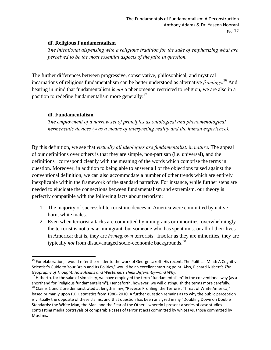#### **df. Religious Fundamentalism**

*The intentional dispensing with a religious tradition for the sake of emphasizing what are perceived to be the most essential aspects of the faith in question.* 

The further differences between progressive, conservative, philosophical, and mystical incarnations of religious fundamentalism can be better understood as alternative *framings*. 36 And bearing in mind that fundamentalism is *not* a phenomenon restricted to religion, we are also in a position to redefine fundamentalism more generally: $37$ 

#### **df. Fundamentalism**

*The employment of a narrow set of principles as ontological and phenomenological hermeneutic devices (≈ as a means of interpreting reality and the human experience).* 

By this definition, we see that *virtually all ideologies are fundamentalist, in nature*. The appeal of our definitions over others is that they are simple, non-partisan (i.e. universal), and the definitions correspond cleanly with the meaning of the words which comprise the terms in question. Moreover, in addition to being able to answer all of the objections raised against the conventional definition, we can also accommodate a number of other trends which are entirely inexplicable within the framework of the standard narrative. For instance, while further steps are needed to elucidate the connections between fundamentalism and extremism, our theory is perfectly compatible with the following facts about terrorism:

- 1. The majority of successful terrorist incidences in America were committed by nativeborn, white males.
- 2. Even when terrorist attacks are committed by immigrants or minorities, overwhelmingly the terrorist is not a *new* immigrant, but someone who has spent most or all of their lives in America; that is, they are *homegrown* terrorists. Insofar as they are minorities, they are typically *not* from disadvantaged socio-economic backgrounds.<sup>38</sup>

 $^{36}$  For elaboration, I would refer the reader to the work of George Lakoff. His recent, The Political Mind: A Cognitive Scientist's Guide to Your Brain and Its Politics," would be an excellent starting point. Also, Richard Nisbett's The<br>Geography of Thought: How Asians and Westerners Think Differently—and Why.

<sup>&</sup>lt;sup>37</sup> Hitherto, for the sake of simplicity, we have employed the term "fundamentalism" in the conventional way (as a<br>shorthand for "religious fundamentalism"). Henceforth, however, we will distinguish the terms more careful  $38$  Claims 1 and 2 are demonstrated at length in my, "Reverse Profiling: the Terrorist Threat of White America,"

based primarily upon F.B.I. statistics from 1980‐ 2010. A further question remains as to why the public perception is virtually the opposite of these claims, and that question has been analyzed in my "Doubling Down on Double Standards: the White Man, the Man, and the Fear of the Other," wherein I present a series of case studies contrasting media portrayals of comparable cases of terrorist acts committed by whites vs. those committed by Muslims.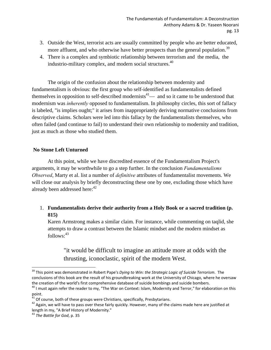- 3. Outside the West, terrorist acts are usually committed by people who are better educated, more affluent, and who otherwise have better prospects than the general population.<sup>39</sup>
- 4. There is a complex and symbiotic relationship between terrorism and the media, the industrio-military complex, and modern social structures.<sup>40</sup>

 The origin of the confusion about the relationship between modernity and fundamentalism is obvious: the first group who self-identified as fundamentalists defined themselves in opposition to self-described modernists<sup>41</sup>— and so it came to be understood that modernism was *inherently* opposed to fundamentalism. In philosophy circles, this sort of fallacy is labeled, "is implies ought;" it arises from inappropriately deriving normative conclusions from descriptive claims. Scholars were led into this fallacy by the fundamentalists themselves, who often failed (and continue to fail) to understand their own relationship to modernity and tradition, just as much as those who studied them.

#### **No Stone Left Unturned**

 At this point, while we have discredited essence of the Fundamentalism Project's arguments, it may be worthwhile to go a step further. In the conclusion *Fundamentalisms Observed*, Marty et al. list a number of *definitive* attributes of fundamentalist movements. We will close our analysis by briefly deconstructing these one by one, excluding those which have already been addressed here:  $42$ 

#### 1. **Fundamentalists derive their authority from a Holy Book or a sacred tradition (p. 815)**

Karen Armstrong makes a similar claim. For instance, while commenting on taqlid, she attempts to draw a contrast between the Islamic mindset and the modern mindset as  $follows: <sup>43</sup>$ 

"it would be difficult to imagine an attitude more at odds with the thrusting, iconoclastic, spirit of the modern West.

<sup>39</sup> This point was demonstrated in Robert Pape's *Dying to Win: the Strategic Logic of Suicide Terrorism*. The conclusions of this book are the result of his groundbreaking work at the University of Chicago, where he oversaw

the creation of the world's first comprehensive database of suicide bombings and suicide bombers.<br><sup>40</sup> I must again refer the reader to my, "The War on Context: Islam, Modernity and Terror," for elaboration on this point.<br><sup>41</sup> Of course, both of these groups were Christians, specifically, Presbytarians.<br><sup>42</sup> Again, we will have to pass over these fairly quickly. However, many of the claims made here are justified at

length in my, "A Brief History of Modernity." <sup>43</sup> *The Battle for God*, p. <sup>35</sup>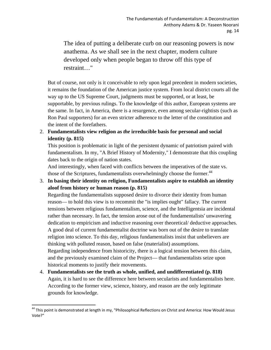The idea of putting a deliberate curb on our reasoning powers is now anathema. As we shall see in the next chapter, modern culture developed only when people began to throw off this type of restraint…"

But of course, not only is it conceivable to rely upon legal precedent in modern societies, it remains the foundation of the American justice system. From local district courts all the way up to the US Supreme Court, judgments must be supported, or at least, be supportable, by previous rulings. To the knowledge of this author, European systems are the same. In fact, in America, there is a resurgence, even among secular-rightists (such as Ron Paul supporters) for an even stricter adherence to the letter of the constitution and the intent of the forefathers.

2. **Fundamentalists view religion as** *the* **irreducible basis for personal and social identity (p. 815)** 

This position is problematic in light of the persistent dynamic of patriotism paired with fundamentalism. In my, "A Brief History of Modernity," I demonstrate that this coupling dates back to the origin of nation states.

And interestingly, when faced with conflicts between the imperatives of the state vs. those of the Scriptures, fundamentalists overwhelmingly choose the former.<sup>44</sup>

3. **In basing their identity on religion, Fundamentalists aspire to establish an identity aloof from history or human reason (p. 815)** 

Regarding the fundamentalists supposed desire to divorce their identity from human reason— to hold this view is to recommit the "is implies ought" fallacy. The current tensions between religious fundamentalism, science, and the Intelligentsia are incidental rather than necessary. In fact, the tension arose out of the fundamentalists' unwavering dedication to empiricism and inductive reasoning over theoretical/ deductive approaches. A good deal of current fundamentalist doctrine was born out of the desire to translate religion into science. To this day, religious fundamentalists insist that unbelievers are thinking with polluted reason, based on false (materialist) assumptions. Regarding independence from historicity, there is a logical tension between this claim, and the previously examined claim of the Project— that fundamentalists seize upon historical moments to justify their movements.

4. **Fundamentalists see the truth as whole, unified, and undifferentiated (p. 818)**  Again, it is hard to see the difference here between secularists and fundamentalists here. According to the former view, science, history, and reason are the only legitimate grounds for knowledge.

<sup>&</sup>lt;sup>44</sup> This point is demonstrated at length in my, "Philosophical Reflections on Christ and America: How Would Jesus Vote?"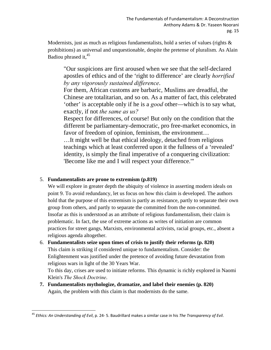Modernists, just as much as religious fundamentalists, hold a series of values (rights  $\&$ prohibitions) as universal and unquestionable, despite the pretense of pluralism. As Alain Badiou phrased it,<sup>45</sup>

"Our suspicions are first aroused when we see that the self-declared apostles of ethics and of the 'right to difference' are clearly *horrified by any vigorously sustained difference*.

For them, African customs are barbaric, Muslims are dreadful, the Chinese are totalitarian, and so on. As a matter of fact, this celebrated 'other' is acceptable only if he is a *good* other—which is to say what, exactly, if not *the same as us?*

Respect for differences, of course! But only on the condition that the different be parliamentary-democratic, pro free-market economics, in favor of freedom of opinion, feminism, the environment…

…It might well be that ethical ideology, detached from religious teachings which at least conferred upon it the fullness of a 'revealed' identity, is simply the final imperative of a conquering civilization: 'Become like me and I will respect your difference.'"

#### 5. **Fundamentalists are prone to extremism (p.819)**

We will explore in greater depth the ubiquity of violence in asserting modern ideals on point 9. To avoid redundancy, let us focus on how this claim is developed. The authors hold that the purpose of this extremism is partly as resistance, partly to separate their own group from others, and partly to separate the committed from the non-committed. Insofar as this is understood as an attribute of religious fundamentalism, their claim is problematic. In fact, the use of extreme actions as writes of initiation are common practices for street gangs, Marxists, environmental activists, racial groups, etc., absent a religious agenda altogether.

### 6. **Fundamentalists seize upon times of crisis to justify their reforms (p. 820)**  This claim is striking if considered unique to fundamentalism. Consider: the Enlightenment was justified under the pretence of avoiding future devastation from religious wars in light of the 30 Years War.

To this day, crises are used to initiate reforms. This dynamic is richly explored in Naomi Klein's *The Shock Doctrine*.

**7. Fundamentalists mythologize, dramatize, and label their enemies (p. 820)**  Again, the problem with this claim is that modernists do the same.

 <sup>45</sup> *Ethics: An Understanding of Evil*, p. 24‐ 5. Baudrillard makes a similar case in his *The Transparency of Evil*.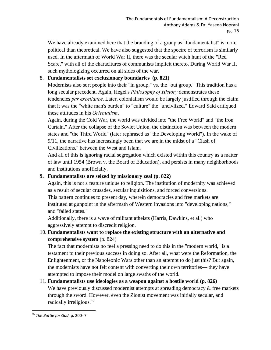We have already examined here that the branding of a group as "fundamentalist" is more political than theoretical. We have also suggested that the spectre of terrorism is similarly used. In the aftermath of World War II, there was the secular witch hunt of the "Red Scare," with all of the characitures of communists implicit thereto. During World War II, such mythologizing occurred on all sides of the war.

#### 8. **Fundamentalists set exclusionary boundaries (p. 821)**

Modernists also sort people into their "in group," vs. the "out group." This tradition has a long secular precedent. Again, Hegel's *Philosophy of History* demonstrates these tendencies *par excellance*. Later, colonialism would be largely justified through the claim that it was the "white man's burden" to "culture" the "uncivlized." Edward Said critiqued these attitudes in his *Orientalism*.

Again, during the Cold War, the world was divided into "the Free World" and "the Iron Curtain." After the collapse of the Soviet Union, the distinction was between the modern states and "the Third World" (later rephrased as "the Developing World"). In the wake of 9/11, the narrative has increasingly been that we are in the midst of a "Clash of Civilizations," between the West and Islam.

And all of this is ignoring racial segregation which existed within this country as a matter of law until 1954 (Brown v. the Board of Education), and persists in many neighborhoods and institutions unofficially.

#### **9. Fundamentalists are seized by missionary zeal (p. 822)**

Again, this is not a feature unique to religion. The institution of modernity was achieved as a result of secular crusades, secular inquisitions, and forced conversions. This pattern continues to present day, wherein democracies and free markets are instituted at gunpoint in the aftermath of Western invasions into "developing nations," and "failed states."

Additionally, there is a wave of militant atheists (Harris, Dawkins, et al.) who aggressively attempt to discredit religion.

10. **Fundamentalists want to replace the existing structure with an alternative and comprehensive system** (p. 824)

The fact that modernists no feel a pressing need to do this in the "modern world," is a testament to their previous success in doing so. After all, what were the Reformation, the Enlightenment, or the Napoleonic Wars other than an attempt to do just this? But again, the modernists have not felt content with converting their own territories— they have attempted to impose their model on large swaths of the world.

#### 11. **Fundamentalists use ideologies as a weapon against a hostile world (p. 826)**  We have previously discussed modernist attempts at spreading democracy & free markets through the sword. However, even the Zionist movement was initially secular, and radically irreligious.<sup>46</sup>

 <sup>46</sup> *The Battle for God*, p. 200‐ 7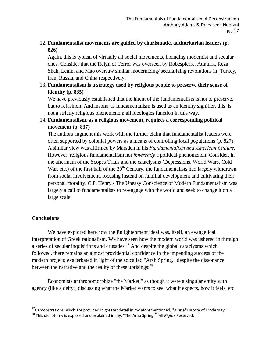#### 12. **Fundamentalist movements are guided by charismatic, authoritarian leaders (p. 826)**

Again, this is typical of virtually all social movements, including modernist and secular ones. Consider that the Reign of Terror was overseen by Robespierre. Attaturk, Reza Shah, Lenin, and Mao oversaw similar modernizing/ secularizing revolutions in Turkey, Iran, Russia, and China respectively.

#### 13. **Fundamentalism is a strategy used by religious people to preserve their sense of identity (p. 835)**

We have previously established that the intent of the fundamentalists is not to preserve, but to refashion. And insofar as fundamentalism is used as an identity signifier, this is not a strictly religious phenomenon: all ideologies function in this way.

#### 14. **Fundamentalism, as a religious movement, requires a corresponding political movement (p. 837)**

The authors augment this work with the further claim that fundamentalist leaders were often supported by colonial powers as a means of controlling local populations (p. 827). A similar view was affirmed by Marsden in his *Fundamentalism and American Culture*. However, religious fundamentalism not *inherently* a political phenomenon. Consider, in the aftermath of the Scopes Trials and the cataclysms (Depressions, World Wars, Cold War, etc.) of the first half of the  $20<sup>th</sup>$  Century, the fundamentalists had largely withdrawn from social involvement, focusing instead on familial development and cultivating their personal morality. C.F. Henry's The Uneasy Conscience of Modern Fundamentalism was largely a call to fundamentalists to re-engage with the world and seek to change it on a large scale.

#### **Conclusions**

 We have explored here how the Enlightenment ideal was, itself, an evangelical interpretation of Greek rationalism. We have seen how the modern world was ushered in through a series of secular inquisitions and crusades.<sup> $47$ </sup> And despite the global cataclysms which followed, there remains an almost providential confidence in the impending success of the modern project; exacerbated in light of the so called "Arab Spring," despite the dissonance between the narrative and the reality of these uprisings: <sup>48</sup>

 Economists anthropomorphize "the Market," as though it were a singular entity with agency (like a deity), discussing what the Market wants to see, what it expects, how it feels, etc.

<sup>47</sup> Demonstrations which are provided in greater detail in my aforementioned, "A Brief History of Modernity." 47Demonstrations which are provided in greater detail in my aforementioned, "A Brief History of Modernity." <sup>48</sup> This dichotomy is explored and explained in my, "The Arab SpringTM : All *Rights* Reserved.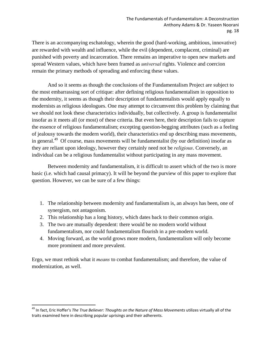There is an accompanying eschatology, wherein the good (hard-working, ambitious, innovative) are rewarded with wealth and influence, while the evil (dependent, complacent, criminal) are punished with poverty and incarceration. There remains an imperative to open new markets and spread Western values, which have been framed as *universal* rights. Violence and coercion remain the primary methods of spreading and enforcing these values.

 And so it seems as though the conclusions of the Fundamentalism Project are subject to the most embarrassing sort of critique: after defining religious fundamentalism in opposition to the modernity, it seems as though their description of fundamentalists would apply equally to modernists as religious ideologues. One may attempt to circumvent this problem by claiming that we should not look these characteristics individually, but collectively. A group is fundamentalist insofar as it meets all (or most) of these criteria. But even here, their description fails to capture the essence of religious fundamentalism; excepting question-begging attributes (such as a feeling of jealousy towards the modern world), their characteristics end up describing mass movements, in general.<sup>49</sup> Of course, mass movements will be fundamentalist (by our definition) insofar as they are reliant upon ideology, however they certainly need not be *religious*. Conversely, an individual can be a religious fundamentalist without participating in any mass movement.

 Between modernity and fundamentalism, it is difficult to assert which of the two is more basic (i.e. which had causal primacy). It will be beyond the purview of this paper to explore that question. However, we can be sure of a few things:

- 1. The relationship between modernity and fundamentalism is, an always has been, one of synergism, not antagonism.
- 2. This relationship has a long history, which dates back to their common origin.
- 3. The two are mutually dependent: there would be no modern world without fundamentalism, nor could fundamentalism flourish in a pre-modern world.
- 4. Moving forward, as the world grows more modern, fundamentalism will only become more prominent and more prevalent.

Ergo, we must rethink what it *means* to combat fundamentalism; and therefore, the value of modernization, as well.

<sup>49</sup> In fact, Eric Hoffer's *The True Believer: Thoughts on the Nature of Mass Movements* utilizes virtually all of the traits examined here in describing popular uprisings and their adherents.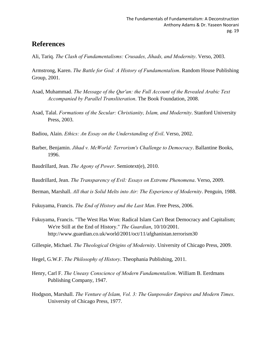# **References**

Ali, Tariq. *The Clash of Fundamentalisms: Crusades, Jihads, and Modernity*. Verso, 2003.

Armstrong, Karen. *The Battle for God: A History of Fundamentalism*. Random House Publishing Group, 2001.

- Asad, Muhammad. *The Message of the Qur'an: the Full Account of the Revealed Arabic Text Accompanied by Parallel Transliteration*. The Book Foundation, 2008.
- Asad, Talal. *Formations of the Secular: Christianity, Islam, and Modernity*. Stanford University Press, 2003.

Badiou, Alain. *Ethics: An Essay on the Understanding of Evil*. Verso, 2002.

- Barber, Benjamin. *Jihad v. McWorld: Terrorism's Challenge to Democracy*. Ballantine Books, 1996.
- Baudrillard, Jean. *The Agony of Power*. Semiotext(e), 2010.
- Baudrillard, Jean. *The Transparency of Evil: Essays on Extreme Phenomena*. Verso, 2009.
- Berman, Marshall. *All that is Solid Melts into Air: The Experience of Modernity*. Penguin, 1988.

Fukuyama, Francis. *The End of History and the Last Man*. Free Press, 2006.

Fukuyama, Francis. "The West Has Won: Radical Islam Can't Beat Democracy and Capitalism; We're Still at the End of History." *The Guardian*, 10/10/2001. http://www.guardian.co.uk/world/2001/oct/11/afghanistan.terrorism30

Gillespie, Michael. *The Theological Origins of Modernity*. University of Chicago Press, 2009.

- Hegel, G.W.F. *The Philosophy of History*. Theophania Publishing, 2011.
- Henry, Carl F. *The Uneasy Conscience of Modern Fundamentalism*. William B. Eerdmans Publishing Company, 1947.
- Hodgson, Marshall. *The Venture of Islam, Vol. 3: The Gunpowder Empires and Modern Times*. University of Chicago Press, 1977.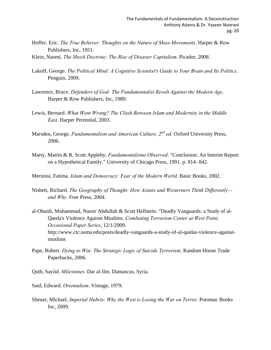- Hoffer, Eric. *The True Believer: Thoughts on the Nature of Mass Movements*. Harper & Row Publishers, Inc, 1951.
- Klein, Naomi. *The Shock Doctrine: The Rise of Disaster Capitalism*. Picador, 2008.
- Lakoff, George. *The Political Mind: A Cognitive Scientist's Guide to Your Brain and Its Politics*. Penguin, 2009.
- Lawrence, Bruce. *Defenders of God: The Fundamentalist Revolt Against the Modern Age*. Harper & Row Publishers, Inc, 1989.
- Lewis, Bernard. *What Went Wrong? The Clash Between Islam and Modernity in the Middle East*. Harper Perennial, 2003.
- Marsden, George. *Fundamentalism and American Culture, 2nd ed*. Oxford University Press, 2006.
- Marty, Martin & R. Scott Appleby. *Fundamentalisms Observed*. "Conclusion: An Interim Report on a Hypothetical Family." University of Chicago Press, 1991. p. 814- 842.
- Mernissi, Fatima. *Islam and Democracy: Fear of the Modern World*. Basic Books, 2002.
- Nisbett, Richard. *The Geography of Thought: How Asians and Westerners Think Differently and Why*. Free Press, 2004.
- al-Obaidi, Muhammad, Nassir Abdullah & Scott Helfstein. "Deadly Vanguards: a Study of al- Qaeda's Violence Against Muslims. *Combating Terrorism Center at West Point, Occasional Paper Series*, 12/1/2009. http://www.ctc.usma.edu/posts/deadly-vanguards-a-study-of-al-qaidas-violence-against muslims
- Pape, Robert. *Dying to Win: The Strategic Logic of Suicide Terrorism*. Random House Trade Paperbacks, 2006.
- Qutb, Sayiid. *Milestones*. Dar al-Ilm. Damascus, Syria.
- Said, Edward. *Orientalism*. Vintage, 1979.
- Sheuer, Michael. *Imperial Hubris: Why the West is Losing the War on Terror*. Potomac Books Inc, 2009.